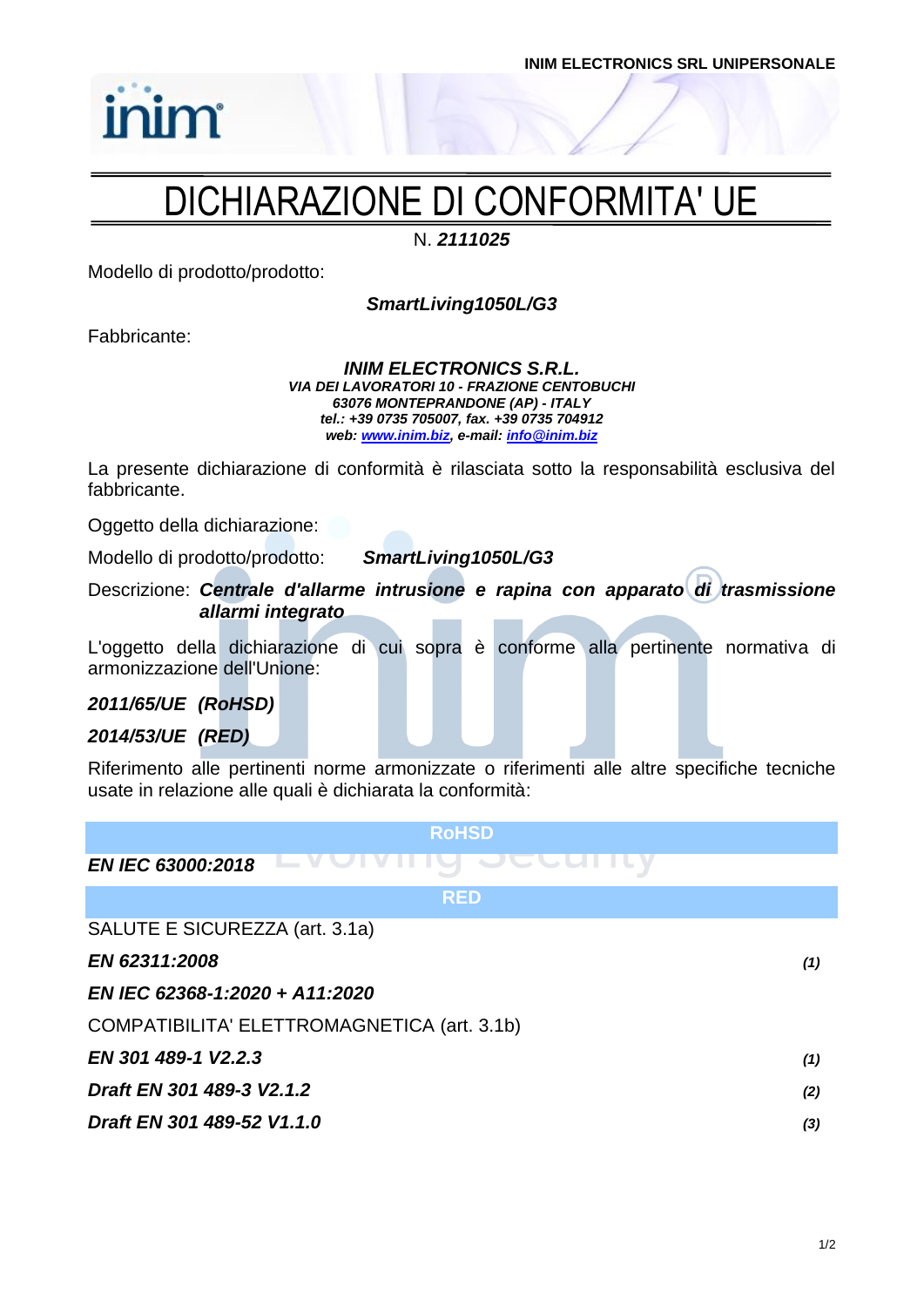## DICHIARAZIONE DI CONFORMITA' UE

N. *2111025*

Modello di prodotto/prodotto:

*SmartLiving1050L/G3*

Fabbricante:

inim

*INIM ELECTRONICS S.R.L. VIA DEI LAVORATORI 10 - FRAZIONE CENTOBUCHI 63076 MONTEPRANDONE (AP) - ITALY tel.: +39 0735 705007, fax. +39 0735 704912 web: [www.inim.biz,](http://www.inim.biz/) e-mail[: info@inim.biz](mailto:info@inim.biz)*

La presente dichiarazione di conformità è rilasciata sotto la responsabilità esclusiva del fabbricante.

Oggetto della dichiarazione:

Modello di prodotto/prodotto: *SmartLiving1050L/G3*

Descrizione: *Centrale d'allarme intrusione e rapina con apparato di trasmissione* 

*allarmi integrato*

L'oggetto della dichiarazione di cui sopra è conforme alla pertinente normativa di armonizzazione dell'Unione:

*2011/65/UE (RoHSD)*

*2014/53/UE (RED)*

Riferimento alle pertinenti norme armonizzate o riferimenti alle altre specifiche tecniche usate in relazione alle quali è dichiarata la conformità:

| <b>RoHSD</b>                                |     |
|---------------------------------------------|-----|
| <b>EN IEC 63000:2018</b>                    |     |
| <b>RED</b>                                  |     |
| SALUTE E SICUREZZA (art. 3.1a)              |     |
| EN 62311:2008                               | (1) |
| EN IEC 62368-1:2020 + A11:2020              |     |
| COMPATIBILITA' ELETTROMAGNETICA (art. 3.1b) |     |
| EN 301 489-1 V2.2.3                         | (1) |
| Draft EN 301 489-3 V2.1.2                   | (2) |
| Draft EN 301 489-52 V1.1.0                  | (3) |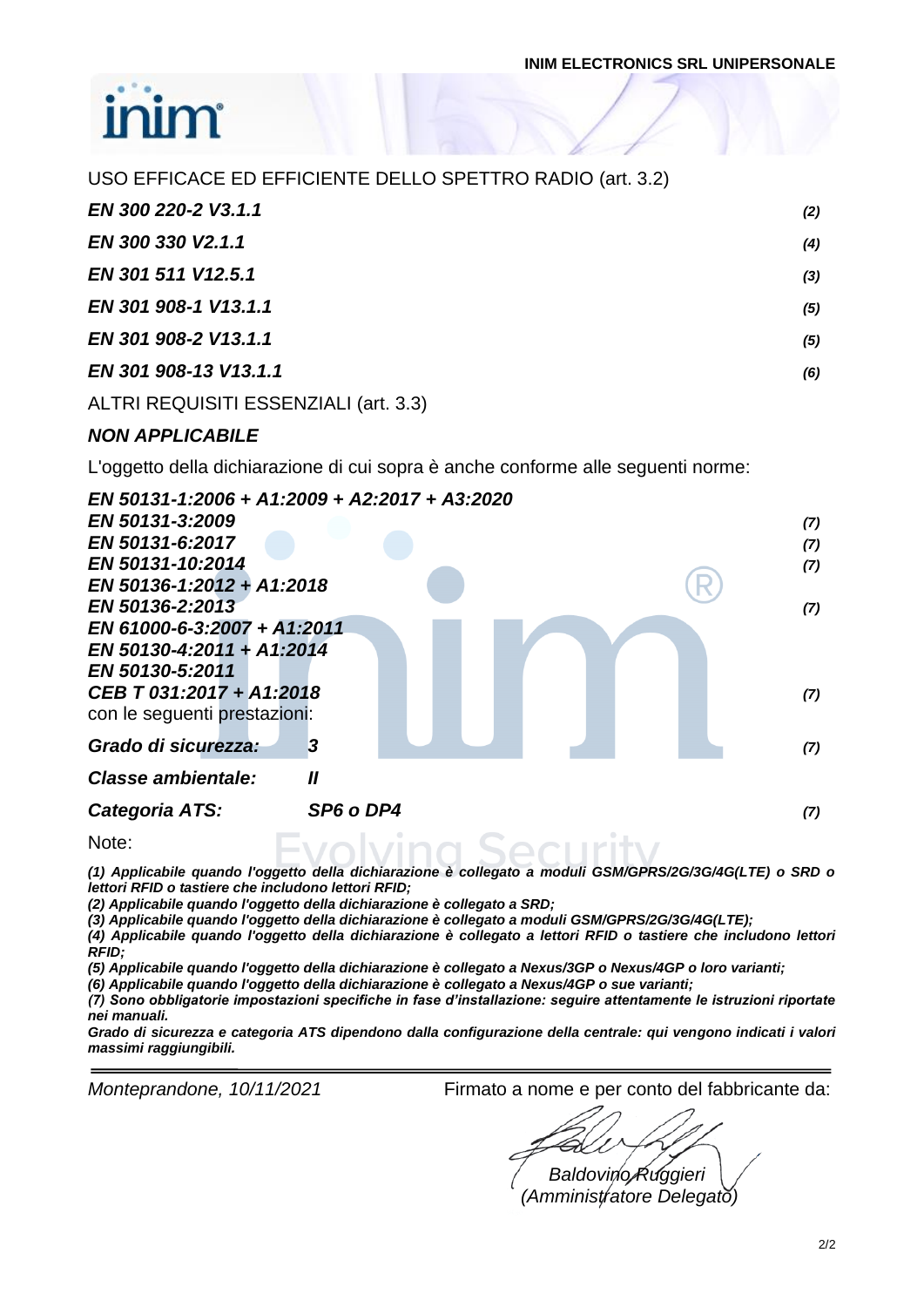| USO EFFICACE ED EFFICIENTE DELLO SPETTRO RADIO (art. 3.2) |     |
|-----------------------------------------------------------|-----|
| EN 300 220-2 V3.1.1                                       | (2) |
| EN 300 330 V2.1.1                                         | (4) |
| EN 301 511 V12.5.1                                        | (3) |
| EN 301 908-1 V13.1.1                                      | (5) |
| EN 301 908-2 V13.1.1                                      | (5) |
| EN 301 908-13 V13.1.1                                     | (6) |
| ALTRI REQUISITI ESSENZIALI (art. 3.3)                     |     |

#### *NON APPLICABILE*

L'oggetto della dichiarazione di cui sopra è anche conforme alle seguenti norme:

|                              | EN 50131-1:2006 + A1:2009 + A2:2017 + A3:2020 |     |
|------------------------------|-----------------------------------------------|-----|
| EN 50131-3:2009              |                                               | (7) |
| EN 50131-6:2017              |                                               | (7) |
| EN 50131-10:2014             |                                               | (7) |
| EN 50136-1:2012 + A1:2018    |                                               |     |
| EN 50136-2:2013              |                                               | (7) |
| EN 61000-6-3:2007 + A1:2011  |                                               |     |
| EN 50130-4:2011 + A1:2014    |                                               |     |
| EN 50130-5:2011              |                                               |     |
| CEB T 031:2017 + A1:2018     |                                               | (7) |
| con le seguenti prestazioni: |                                               |     |
| Grado di sicurezza:          | $\bf{3}$                                      | (7) |
| Classe ambientale:           | $\boldsymbol{\mathit{II}}$                    |     |
| Categoria ATS:               | SP6 o DP4                                     | (7) |
| Note:                        |                                               |     |

*(1) Applicabile quando l'oggetto della dichiarazione è collegato a moduli GSM/GPRS/2G/3G/4G(LTE) o SRD o lettori RFID o tastiere che includono lettori RFID;*

*(2) Applicabile quando l'oggetto della dichiarazione è collegato a SRD;*

*(3) Applicabile quando l'oggetto della dichiarazione è collegato a moduli GSM/GPRS/2G/3G/4G(LTE);*

*(4) Applicabile quando l'oggetto della dichiarazione è collegato a lettori RFID o tastiere che includono lettori RFID;*

*(5) Applicabile quando l'oggetto della dichiarazione è collegato a Nexus/3GP o Nexus/4GP o loro varianti;*

*(6) Applicabile quando l'oggetto della dichiarazione è collegato a Nexus/4GP o sue varianti;*

*(7) Sono obbligatorie impostazioni specifiche in fase d'installazione: seguire attentamente le istruzioni riportate nei manuali.*

*Grado di sicurezza e categoria ATS dipendono dalla configurazione della centrale: qui vengono indicati i valori massimi raggiungibili.*

*Monteprandone, 10/11/2021* Firmato a nome e per conto del fabbricante da:

*Baldovino Ruggieri (Amministratore Delegato)*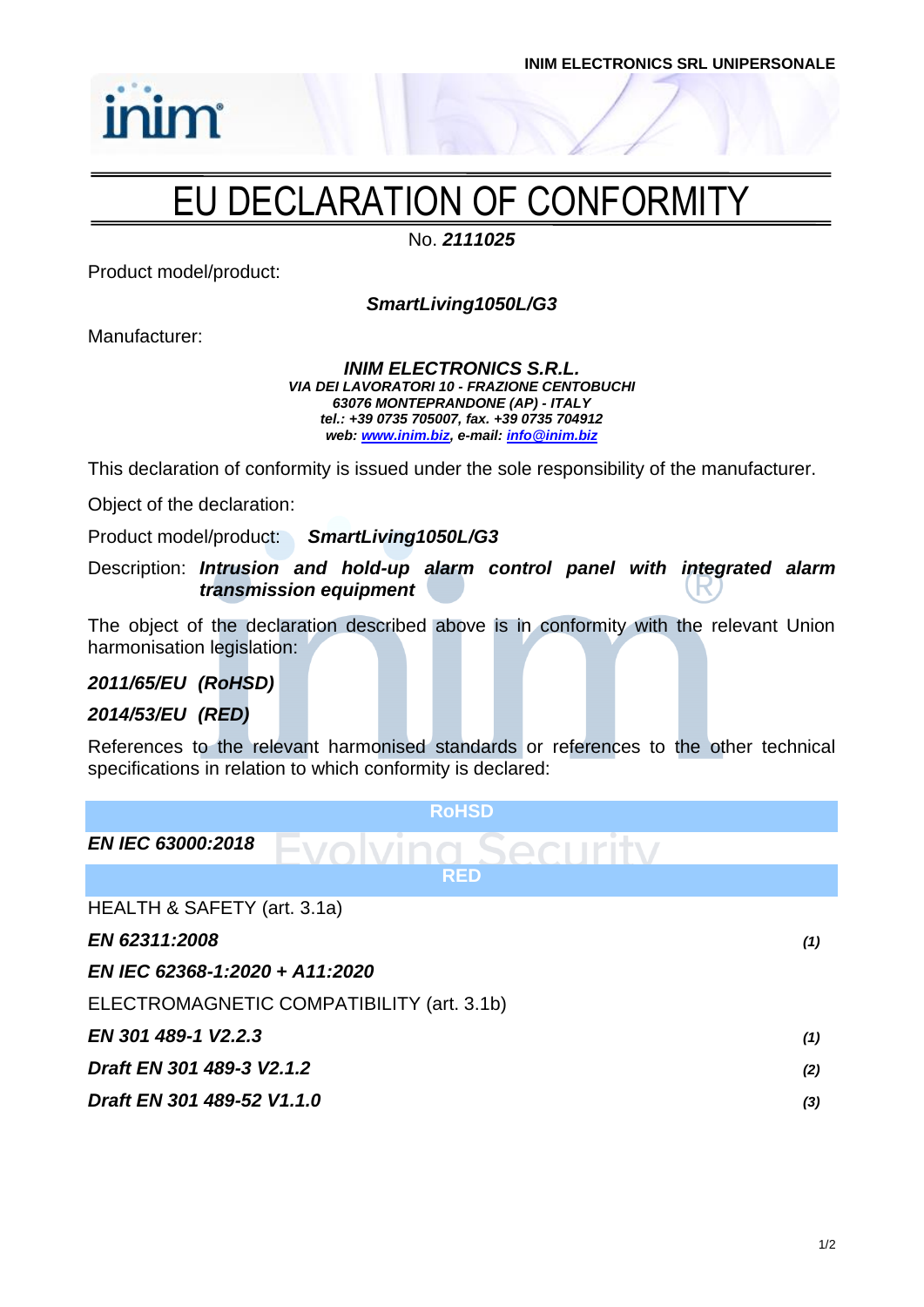

## EU DECLARATION OF CONFORMITY

No. *2111025*

Product model/product:

inim

*SmartLiving1050L/G3*

Manufacturer:

#### *INIM ELECTRONICS S.R.L. VIA DEI LAVORATORI 10 - FRAZIONE CENTOBUCHI 63076 MONTEPRANDONE (AP) - ITALY tel.: +39 0735 705007, fax. +39 0735 704912 web: [www.inim.biz,](http://www.inim.biz/) e-mail[: info@inim.biz](mailto:info@inim.biz)*

This declaration of conformity is issued under the sole responsibility of the manufacturer.

Object of the declaration:

Product model/product: *SmartLiving1050L/G3*

Description: *Intrusion and hold-up alarm control panel with integrated alarm transmission equipment*

The object of the declaration described above is in conformity with the relevant Union harmonisation legislation:

*2011/65/EU (RoHSD)*

#### *2014/53/EU (RED)*

References to the relevant harmonised standards or references to the other technical specifications in relation to which conformity is declared:

| <b>RoHSD</b>                              |     |
|-------------------------------------------|-----|
| <b>EN IEC 63000:2018</b>                  |     |
| <b>RED</b>                                |     |
| HEALTH & SAFETY (art. 3.1a)               |     |
| EN 62311:2008                             | (1) |
| EN IEC 62368-1:2020 + A11:2020            |     |
| ELECTROMAGNETIC COMPATIBILITY (art. 3.1b) |     |
| EN 301 489-1 V2.2.3                       | (1) |
| Draft EN 301 489-3 V2.1.2                 | (2) |
| Draft EN 301 489-52 V1.1.0                | (3) |